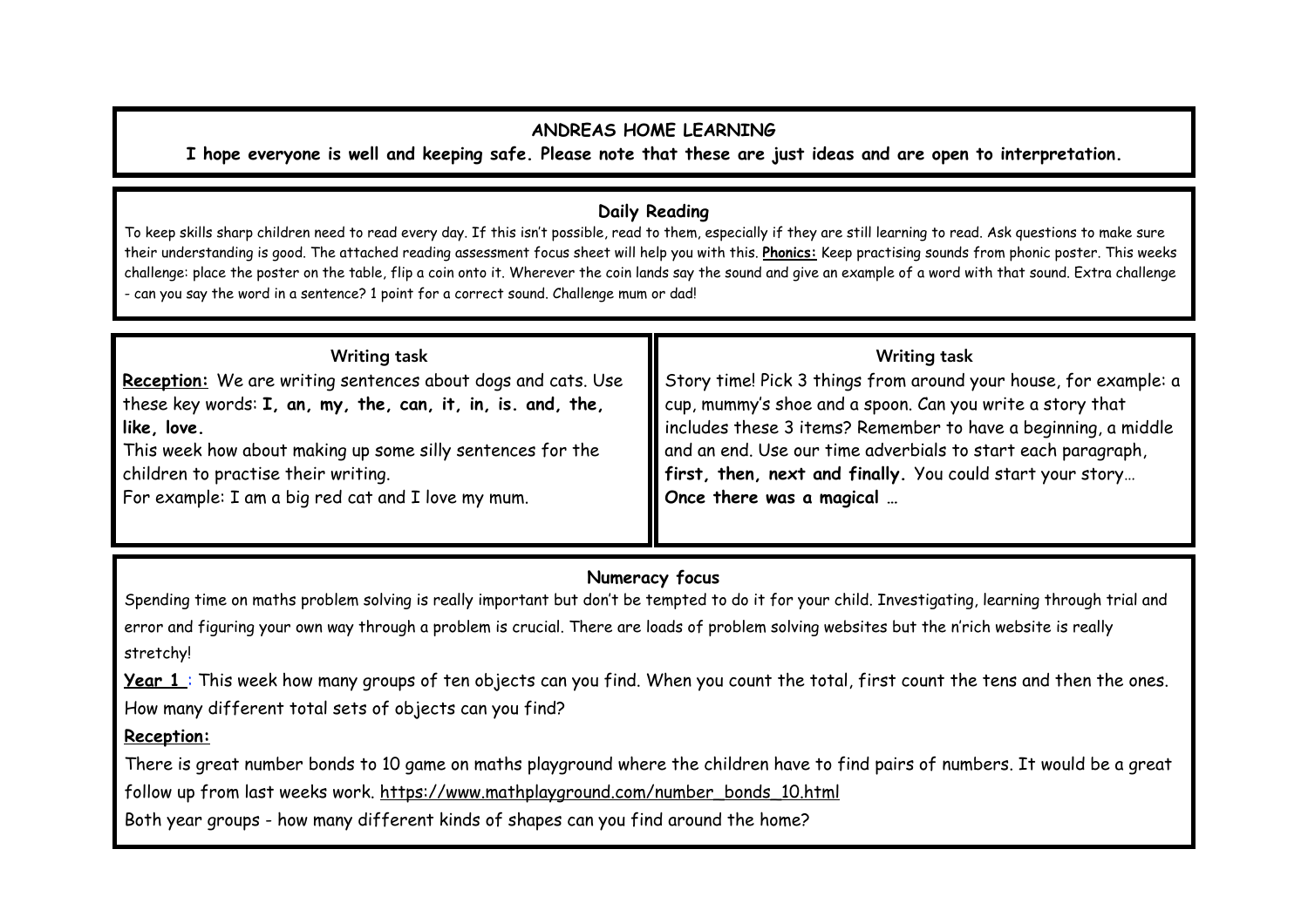### **ANDREAS HOME LEARNING**

**I hope everyone is well and keeping safe. Please note that these are just ideas and are open to interpretation.** 

# **Daily Reading**

To keep skills sharp children need to read every day. If this isn't possible, read to them, especially if they are still learning to read. Ask questions to make sure their understanding is good. The attached reading assessment focus sheet will help you with this. **Phonics:** Keep practising sounds from phonic poster. This weeks challenge: place the poster on the table, flip a coin onto it. Wherever the coin lands say the sound and give an example of a word with that sound. Extra challenge - can you say the word in a sentence? 1 point for a correct sound. Challenge mum or dad!

| <b>Writing task</b>                                          | <b>Writing task</b>                                                   |
|--------------------------------------------------------------|-----------------------------------------------------------------------|
| Reception: We are writing sentences about dogs and cats. Use | Story time! Pick 3 things from around your house, for example: a      |
| these key words: I, an, my, the, can, it, in, is. and, the,  | $\parallel$ cup, mummy's shoe and a spoon. Can you write a story that |
| like, love.                                                  | includes these 3 items? Remember to have a beginning, a middle        |
| This week how about making up some silly sentences for the   | and an end. Use our time adverbials to start each paragraph,          |
| children to practise their writing.                          | If irst, then, next and finally. You could start your story           |
| For example: I am a big red cat and I love my mum.           | Once there was a magical                                              |
|                                                              |                                                                       |

# **Numeracy focus**

Spending time on maths problem solving is really important but don't be tempted to do it for your child. Investigating, learning through trial and error and figuring your own way through a problem is crucial. There are loads of problem solving websites but the n'rich website is really stretchy!

Year 1: This week how many groups of ten objects can you find. When you count the total, first count the tens and then the ones. How many different total sets of objects can you find?

# **Reception:**

There is great number bonds to 10 game on maths playground where the children have to find pairs of numbers. It would be a great follow up from last weeks work. https://www.mathplayground.com/number\_bonds\_10.html

Both year groups - how many different kinds of shapes can you find around the home?